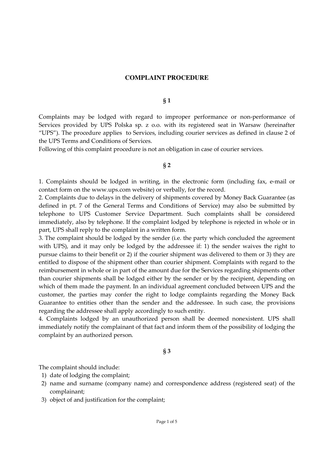### **COMPLAINT PROCEDURE**

**§ 1** 

Complaints may be lodged with regard to improper performance or non-performance of Services provided by UPS Polska sp. z o.o. with its registered seat in Warsaw (hereinafter "UPS"). The procedure applies to Services, including courier services as defined in clause 2 of the UPS Terms and Conditions of Services.

Following of this complaint procedure is not an obligation in case of courier services.

#### **§ 2**

1. Complaints should be lodged in writing, in the electronic form (including fax, e-mail or contact form on the www.ups.com website) or verbally, for the record.

2. Complaints due to delays in the delivery of shipments covered by Money Back Guarantee (as defined in pt. 7 of the General Terms and Conditions of Service) may also be submitted by telephone to UPS Customer Service Department. Such complaints shall be considered immediately, also by telephone. If the complaint lodged by telephone is rejected in whole or in part, UPS shall reply to the complaint in a written form.

3. The complaint should be lodged by the sender (i.e. the party which concluded the agreement with UPS), and it may only be lodged by the addressee if: 1) the sender waives the right to pursue claims to their benefit or 2) if the courier shipment was delivered to them or 3) they are entitled to dispose of the shipment other than courier shipment. Complaints with regard to the reimbursement in whole or in part of the amount due for the Services regarding shipments other than courier shipments shall be lodged either by the sender or by the recipient, depending on which of them made the payment. In an individual agreement concluded between UPS and the customer, the parties may confer the right to lodge complaints regarding the Money Back Guarantee to entities other than the sender and the addressee. In such case, the provisions regarding the addressee shall apply accordingly to such entity.

4. Complaints lodged by an unauthorized person shall be deemed nonexistent. UPS shall immediately notify the complainant of that fact and inform them of the possibility of lodging the complaint by an authorized person.

**§ 3** 

The complaint should include:

- 1) date of lodging the complaint;
- 2) name and surname (company name) and correspondence address (registered seat) of the complainant;
- 3) object of and justification for the complaint;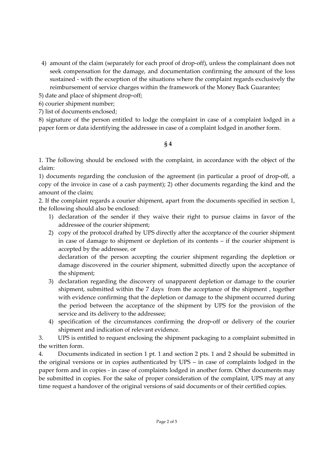4) amount of the claim (separately for each proof of drop-off), unless the complainant does not seek compensation for the damage, and documentation confirming the amount of the loss sustained - with the ecxeption of the situations where the complaint regards exclusively the reimbursement of service charges within the framework of the Money Back Guarantee;

5) date and place of shipment drop-off;

6) courier shipment number;

7) list of documents enclosed;

8) signature of the person entitled to lodge the complaint in case of a complaint lodged in a paper form or data identifying the addressee in case of a complaint lodged in another form.

# **§ 4**

1. The following should be enclosed with the complaint, in accordance with the object of the claim:

1) documents regarding the conclusion of the agreement (in particular a proof of drop-off, a copy of the invoice in case of a cash payment); 2) other documents regarding the kind and the amount of the claim;

2. If the complaint regards a courier shipment, apart from the documents specified in section 1, the following should also be enclosed:

- 1) declaration of the sender if they waive their right to pursue claims in favor of the addressee of the courier shipment;
- 2) copy of the protocol drafted by UPS directly after the acceptance of the courier shipment in case of damage to shipment or depletion of its contents – if the courier shipment is accepted by the addressee, or

declaration of the person accepting the courier shipment regarding the depletion or damage discovered in the courier shipment, submitted directly upon the acceptance of the shipment;

- 3) declaration regarding the discovery of unapparent depletion or damage to the courier shipment, submitted within the 7 days from the acceptance of the shipment , together with evidence confirming that the depletion or damage to the shipment occurred during the period between the acceptance of the shipment by UPS for the provision of the service and its delivery to the addressee;
- 4) specification of the circumstances confirming the drop-off or delivery of the courier shipment and indication of relevant evidence.

3. UPS is entitled to request enclosing the shipment packaging to a complaint submitted in the written form.

4. Documents indicated in section 1 pt. 1 and section 2 pts. 1 and 2 should be submitted in the original versions or in copies authenticated by UPS – in case of complaints lodged in the paper form and in copies - in case of complaints lodged in another form. Other documents may be submitted in copies. For the sake of proper consideration of the complaint, UPS may at any time request a handover of the original versions of said documents or of their certified copies.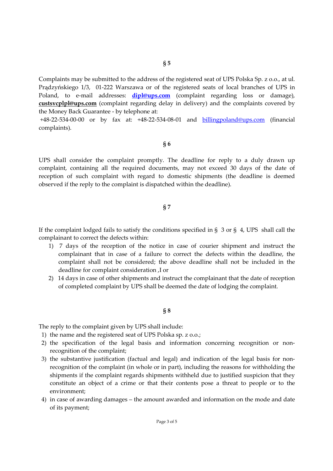Complaints may be submitted to the address of the registered seat of UPS Polska Sp. z o.o., at ul. Prądzyńskiego 1/3, 01-222 Warszawa or of the registered seats of local branches of UPS in Poland, to e-mail addresses: **dipl@ups.com** (complaint regarding loss or damage), **custsvcplpl@ups.com** (complaint regarding delay in delivery) and the complaints covered by the Money Back Guarantee - by telephone at:

 +48-22-534-00-00 or by fax at: +48-22-534-08-01 and billingpoland@ups.com (financial complaints).

## **§ 6**

UPS shall consider the complaint promptly. The deadline for reply to a duly drawn up complaint, containing all the required documents, may not exceed 30 days of the date of reception of such complaint with regard to domestic shipments (the deadline is deemed observed if the reply to the complaint is dispatched within the deadline).

## **§ 7**

If the complaint lodged fails to satisfy the conditions specified in § 3 or § 4, UPS shall call the complainant to correct the defects within:

- 1) 7 days of the reception of the notice in case of courier shipment and instruct the complainant that in case of a failure to correct the defects within the deadline, the complaint shall not be considered; the above deadline shall not be included in the deadline for complaint consideration ,I or
- 2) 14 days in case of other shipments and instruct the complainant that the date of reception of completed complaint by UPS shall be deemed the date of lodging the complaint.

#### **§ 8**

The reply to the complaint given by UPS shall include:

- 1) the name and the registered seat of UPS Polska sp. z o.o.;
- 2) the specification of the legal basis and information concerning recognition or nonrecognition of the complaint;
- 3) the substantive justification (factual and legal) and indication of the legal basis for nonrecognition of the complaint (in whole or in part), including the reasons for withholding the shipments if the complaint regards shipments withheld due to justified suspicion that they constitute an object of a crime or that their contents pose a threat to people or to the environment;
- 4) in case of awarding damages the amount awarded and information on the mode and date of its payment;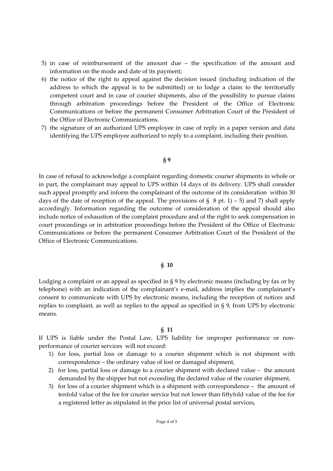- 5) in case of reimbursement of the amount due the specification of the amount and information on the mode and date of its payment;
- 6) the notice of the right to appeal against the decision issued (including indication of the address to which the appeal is to be submitted) or to lodge a claim to the territorially competent court and in case of courier shipments, also of the possibility to pursue claims through arbitration proceedings before the President of the Office of Electronic Communications or before the permanent Consumer Arbitration Court of the President of the Office of Electronic Communications.
- 7) the signature of an authorized UPS employee in case of reply in a paper version and data identifying the UPS employee authorized to reply to a complaint, including their position.

## **§ 9**

In case of refusal to acknowledge a complaint regarding domestic courier shipments in whole or in part, the complainant may appeal to UPS within 14 days of its delivery. UPS shall consider such appeal promptly and inform the complainant of the outcome of its consideration within 30 days of the date of reception of the appeal. The provisions of  $\S$  8 pt. 1) – 5) and 7) shall apply accordingly. Information regarding the outcome of consideration of the appeal should also include notice of exhaustion of the complaint procedure and of the right to seek compensation in court proceedings or in arbitration proceedings before the President of the Office of Electronic Communications or before the permanent Consumer Arbitration Court of the President of the Office of Electronic Communications.

## **§ 10**

Lodging a complaint or an appeal as specified in § 9 by electronic means (including by fax or by telephone) with an indication of the complainant's e-mail, address implies the complainant's consent to communicate with UPS by electronic means, including the reception of notices and replies to complaint, as well as replies to the appeal as specified in § 9, from UPS by electronic means.

## **§ 11**

If UPS is liable under the Postal Law, UPS liability for improper performance or nonperformance of courier services will not exceed:

- 1) for loss, partial loss or damage to a courier shipment which is not shipment with correspondence – the ordinary value of lost or damaged shipment,
- 2) for loss, partial loss or damage to a courier shipment with declared value the amount demanded by the shipper but not exceeding the declared value of the courier shipment,
- 3) for loss of a courier shipment which is a shipment with correspondence the amount of tenfold value of the fee for courier service but not lower than fiftyfold value of the fee for a registered letter as stipulated in the price list of universal postal services,